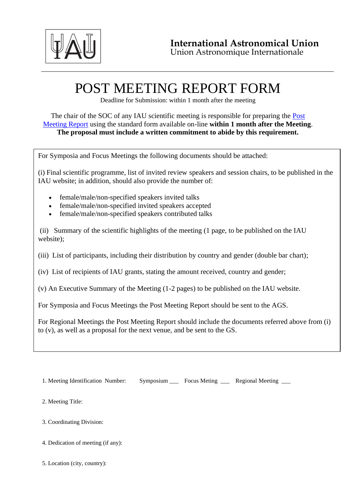

## POST MEETING REPORT FORM

Deadline for Submission: within 1 month after the meeting

## The chair of the SOC of any IAU scientific meeting is responsible for preparing the Post [Meeting Report](https://www.iau.org/static/scientific_meetings/PostMeet.pdf) using the standard form available on-line **within 1 month after the Meeting**. **The proposal must include a written commitment to abide by this requirement.**

For Symposia and Focus Meetings the following documents should be attached:

(i) Final scientific programme, list of invited review speakers and session chairs, to be published in the IAU website; in addition, should also provide the number of:

- female/male/non-specified speakers invited talks
- female/male/non-specified invited speakers accepted
- female/male/non-specified speakers contributed talks

(ii) Summary of the scientific highlights of the meeting (1 page, to be published on the IAU website);

(iii) List of participants, including their distribution by country and gender (double bar chart);

(iv) List of recipients of IAU grants, stating the amount received, country and gender;

(v) An Executive Summary of the Meeting (1-2 pages) to be published on the IAU website.

For Symposia and Focus Meetings the Post Meeting Report should be sent to the AGS.

For Regional Meetings the Post Meeting Report should include the documents referred above from (i) to (v), as well as a proposal for the next venue, and be sent to the GS.

1. Meeting Identification Number: Symposium \_\_\_ Focus Meting \_\_\_ Regional Meeting \_\_

2. Meeting Title:

3. Coordinating Division:

- 4. Dedication of meeting (if any):
- 5. Location (city, country):